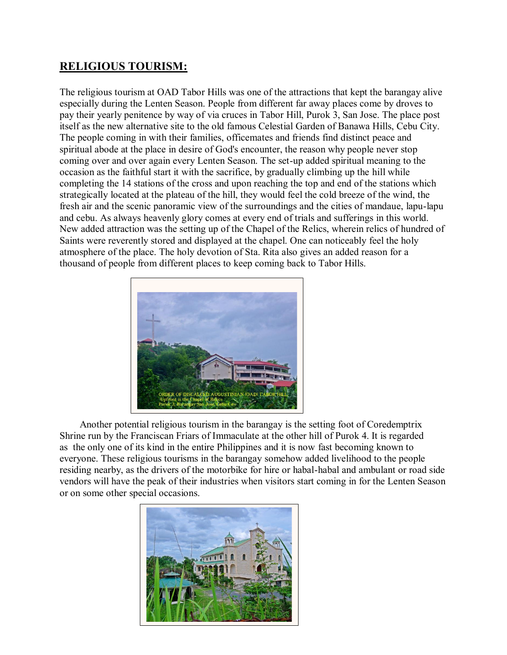## **RELIGIOUS TOURISM:**

The religious tourism at OAD Tabor Hills was one of the attractions that kept the barangay alive especially during the Lenten Season. People from different far away places come by droves to pay their yearly penitence by way of via cruces in Tabor Hill, Purok 3, San Jose. The place post itself as the new alternative site to the old famous Celestial Garden of Banawa Hills, Cebu City. The people coming in with their families, officemates and friends find distinct peace and spiritual abode at the place in desire of God's encounter, the reason why people never stop coming over and over again every Lenten Season. The set-up added spiritual meaning to the occasion as the faithful start it with the sacrifice, by gradually climbing up the hill while completing the 14 stations of the cross and upon reaching the top and end of the stations which strategically located at the plateau of the hill, they would feel the cold breeze of the wind, the fresh air and the scenic panoramic view of the surroundings and the cities of mandaue, lapu-lapu and cebu. As always heavenly glory comes at every end of trials and sufferings in this world. New added attraction was the setting up of the Chapel of the Relics, wherein relics of hundred of Saints were reverently stored and displayed at the chapel. One can noticeably feel the holy atmosphere of the place. The holy devotion of Sta. Rita also gives an added reason for a thousand of people from different places to keep coming back to Tabor Hills.



Another potential religious tourism in the barangay is the setting foot of Coredemptrix Shrine run by the Franciscan Friars of Immaculate at the other hill of Purok 4. It is regarded as the only one of its kind in the entire Philippines and it is now fast becoming known to everyone. These religious tourisms in the barangay somehow added livelihood to the people residing nearby, as the drivers of the motorbike for hire or habal-habal and ambulant or road side vendors will have the peak of their industries when visitors start coming in for the Lenten Season or on some other special occasions.